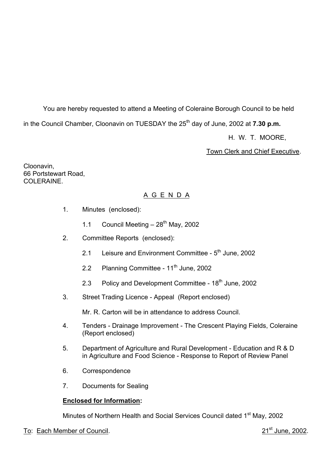You are hereby requested to attend a Meeting of Coleraine Borough Council to be held in the Council Chamber, Cloonavin on TUESDAY the 25<sup>th</sup> day of June, 2002 at **7.30 p.m.** 

H. W. T. MOORE,

Town Clerk and Chief Executive.

Cloonavin, 66 Portstewart Road, COLERAINE.

## A G E N D A

- 1. Minutes (enclosed):
	- 1.1 Council Meeting  $-28^{th}$  May, 2002
- 2. Committee Reports (enclosed):
	- 2.1 Leisure and Environment Committee  $5<sup>th</sup>$  June, 2002
	- 2.2 Planning Committee 11<sup>th</sup> June, 2002
	- 2.3 Policy and Development Committee 18<sup>th</sup> June, 2002
- 3. Street Trading Licence Appeal (Report enclosed)

Mr. R. Carton will be in attendance to address Council.

- 4. Tenders Drainage Improvement The Crescent Playing Fields, Coleraine (Report enclosed)
- 5. Department of Agriculture and Rural Development Education and R & D in Agriculture and Food Science - Response to Report of Review Panel
- 6. Correspondence
- 7. Documents for Sealing

## **Enclosed for Information:**

Minutes of Northern Health and Social Services Council dated 1<sup>st</sup> May, 2002

## To: Each Member of Council. 2002.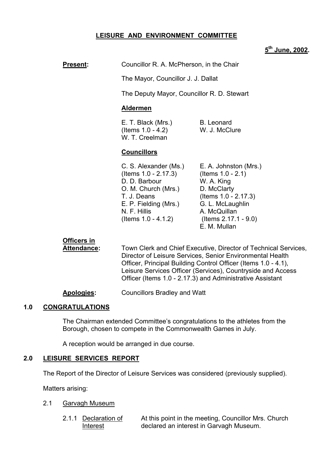### **LEISURE AND ENVIRONMENT COMMITTEE**

# **5th June, 2002.**

| <b>Present:</b> | Councillor R. A. McPherson, in the Chair |
|-----------------|------------------------------------------|
|-----------------|------------------------------------------|

The Mayor, Councillor J. J. Dallat

The Deputy Mayor, Councillor R. D. Stewart

#### **Aldermen**

E. T. Black (Mrs.) B. Leonard (Items 1.0 - 4.2) W. J. McClure W. T. Creelman

#### **Councillors**

| C. S. Alexander (Ms.)   | E. A. Johnston (Mrs.)   |
|-------------------------|-------------------------|
| (Items $1.0 - 2.17.3$ ) | (Items $1.0 - 2.1$ )    |
| D. D. Barbour           | W. A. King              |
| O. M. Church (Mrs.)     | D. McClarty             |
| T. J. Deans             | (Items 1.0 - 2.17.3)    |
| E. P. Fielding (Mrs.)   | G. L. McLaughlin        |
| N. F. Hillis            | A. McQuillan            |
| (Items $1.0 - 4.1.2$ )  | (Items $2.17.1 - 9.0$ ) |
|                         | E. M. Mullan            |

## **Officers in**

 **Attendance:** Town Clerk and Chief Executive, Director of Technical Services, Director of Leisure Services, Senior Environmental Health Officer, Principal Building Control Officer (Items 1.0 - 4.1), Leisure Services Officer (Services), Countryside and Access Officer (Items 1.0 - 2.17.3) and Administrative Assistant

**Apologies:** Councillors Bradley and Watt

#### **1.0 CONGRATULATIONS**

The Chairman extended Committeeís congratulations to the athletes from the Borough, chosen to compete in the Commonwealth Games in July.

A reception would be arranged in due course.

#### **2.0 LEISURE SERVICES REPORT**

The Report of the Director of Leisure Services was considered (previously supplied).

Matters arising:

- 2.1 Garvagh Museum
	- 2.1.1 Declaration of At this point in the meeting, Councillor Mrs. Church Interest declared an interest in Garvagh Museum.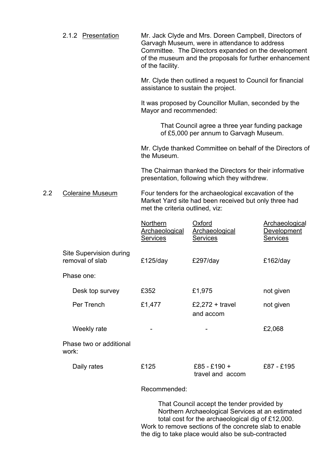| 2.1.2 Presentation |                  | Mr. Jack Clyde and Mrs. Doreen Campbell, Directors of   |
|--------------------|------------------|---------------------------------------------------------|
|                    |                  | Garvagh Museum, were in attendance to address           |
|                    |                  | Committee. The Directors expanded on the development    |
|                    |                  | of the museum and the proposals for further enhancement |
|                    | of the facility. |                                                         |

Mr. Clyde then outlined a request to Council for financial assistance to sustain the project.

It was proposed by Councillor Mullan, seconded by the Mayor and recommended:

> That Council agree a three year funding package of £5,000 per annum to Garvagh Museum.

Mr. Clyde thanked Committee on behalf of the Directors of the Museum.

The Chairman thanked the Directors for their informative presentation, following which they withdrew.

2.2 Coleraine Museum Four tenders for the archaeological excavation of the Market Yard site had been received but only three had met the criteria outlined, viz:

|                                            | Northern<br>Archaeological<br><b>Services</b> | Oxford<br>Archaeological<br><b>Services</b> | Archaeological<br>Development<br><b>Services</b> |
|--------------------------------------------|-----------------------------------------------|---------------------------------------------|--------------------------------------------------|
| Site Supervision during<br>removal of slab | £125/day                                      | £297/day                                    | £162/day                                         |
| Phase one:                                 |                                               |                                             |                                                  |
| Desk top survey                            | £352                                          | £1,975                                      | not given                                        |
| Per Trench                                 | £1,477                                        | £2,272 + travel<br>and accom                | not given                                        |
| Weekly rate                                |                                               |                                             | £2,068                                           |
| Phase two or additional<br>work:           |                                               |                                             |                                                  |
| Daily rates                                | £125                                          | $£85 - £190 +$<br>travel and accom          | £87 - £195                                       |
|                                            |                                               |                                             |                                                  |

Recommended:

 That Council accept the tender provided by Northern Archaeological Services at an estimated total cost for the archaeological dig of £12,000. Work to remove sections of the concrete slab to enable the dig to take place would also be sub-contracted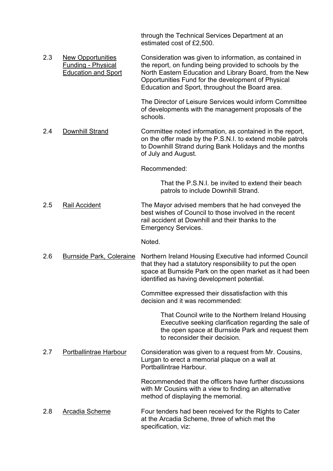through the Technical Services Department at an estimated cost of £2,500.

2.3 New Opportunities Consideration was given to information, as contained in Funding - Physical the report, on funding being provided to schools by the Education and Sport North Eastern Education and Library Board, from the New Opportunities Fund for the development of Physical Education and Sport, throughout the Board area.

> The Director of Leisure Services would inform Committee of developments with the management proposals of the schools.

2.4 Downhill Strand Committee noted information, as contained in the report, on the offer made by the P.S.N.I. to extend mobile patrols to Downhill Strand during Bank Holidays and the months of July and August.

Recommended:

 That the P.S.N.I. be invited to extend their beach patrols to include Downhill Strand.

2.5 Rail Accident The Mayor advised members that he had conveyed the best wishes of Council to those involved in the recent rail accident at Downhill and their thanks to the Emergency Services.

Noted.

2.6 Burnside Park, Coleraine Northern Ireland Housing Executive had informed Council that they had a statutory responsibility to put the open space at Burnside Park on the open market as it had been identified as having development potential.

> Committee expressed their dissatisfaction with this decision and it was recommended:

> > That Council write to the Northern Ireland Housing Executive seeking clarification regarding the sale of the open space at Burnside Park and request them to reconsider their decision.

2.7 Portballintrae Harbour Consideration was given to a request from Mr. Cousins, Lurgan to erect a memorial plaque on a wall at Portballintrae Harbour.

> Recommended that the officers have further discussions with Mr Cousins with a view to finding an alternative method of displaying the memorial.

2.8 Arcadia Scheme Four tenders had been received for the Rights to Cater at the Arcadia Scheme, three of which met the specification, viz: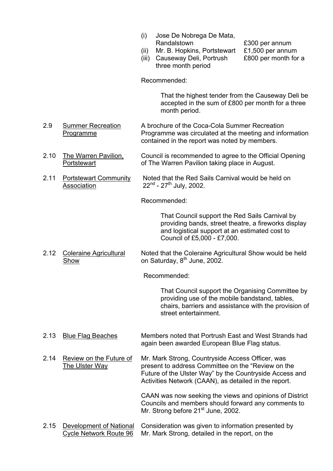- (i) Jose De Nobrega De Mata, Randalstown £300 per annum
- (ii) Mr. B. Hopkins, Portstewart £1,500 per annum
- (iii) Causeway Deli, Portrush £800 per month for a three month period

Recommended:

 That the highest tender from the Causeway Deli be accepted in the sum of £800 per month for a three month period.

- 2.9 Summer Recreation A brochure of the Coca-Cola Summer Recreation Programme Programme was circulated at the meeting and information contained in the report was noted by members.
- 2.10 The Warren Pavilion, Council is recommended to agree to the Official Opening Portstewart of The Warren Pavilion taking place in August.
- 2.11 Portstewart Community Noted that the Red Sails Carnival would be held on  $\overline{\mathsf{Association}}$  22<sup>nd</sup> - 27<sup>th</sup> July, 2002.

Recommended:

That Council support the Red Sails Carnival by providing bands, street theatre, a fireworks display and logistical support at an estimated cost to Council of £5,000 - £7,000.

2.12 Coleraine Agricultural Noted that the Coleraine Agricultural Show would be held  $\overline{\text{Show}}$  on Saturday,  $8^{\text{th}}$  June, 2002.

Recommended:

 That Council support the Organising Committee by providing use of the mobile bandstand, tables, chairs, barriers and assistance with the provision of street entertainment.

- 2.13 Blue Flag Beaches Members noted that Portrush East and West Strands had again been awarded European Blue Flag status.
- 2.14 Review on the Future of Mr. Mark Strong, Countryside Access Officer, was The Ulster Way present to address Committee on the "Review on the Future of the Ulster Way" by the Countryside Access and Activities Network (CAAN), as detailed in the report.

CAAN was now seeking the views and opinions of District Councils and members should forward any comments to Mr. Strong before 21<sup>st</sup> June, 2002.

2.15 Development of National Consideration was given to information presented by Cycle Network Route 96 Mr. Mark Strong, detailed in the report, on the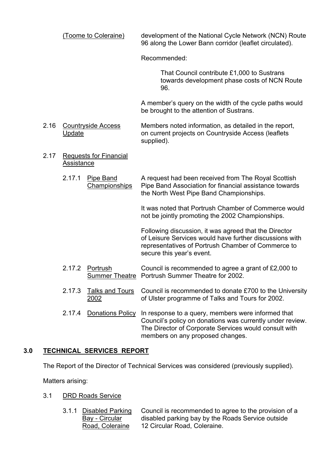(Toome to Coleraine) development of the National Cycle Network (NCN) Route 96 along the Lower Bann corridor (leaflet circulated).

Recommended:

 That Council contribute £1,000 to Sustrans towards development phase costs of NCN Route 96.

A memberís query on the width of the cycle paths would be brought to the attention of Sustrans.

- 2.16 Countryside Access Members noted information, as detailed in the report, Update **Orient projects on Countryside Access (leaflets** Update supplied).
- 2.17 Requests for Financial **Assistance** 
	- 2.17.1 Pipe Band A request had been received from The Royal Scottish Championships Pipe Band Association for financial assistance towards the North West Pipe Band Championships.

It was noted that Portrush Chamber of Commerce would not be jointly promoting the 2002 Championships.

Following discussion, it was agreed that the Director of Leisure Services would have further discussions with representatives of Portrush Chamber of Commerce to secure this year's event.

- 2.17.2 Portrush Council is recommended to agree a grant of £2,000 to Summer Theatre Portrush Summer Theatre for 2002.
- 2.17.3 Talks and Tours Council is recommended to donate £700 to the University 2002 of Ulster programme of Talks and Tours for 2002.
- 2.17.4 Donations Policy In response to a query, members were informed that Council's policy on donations was currently under review. The Director of Corporate Services would consult with members on any proposed changes.

## **3.0 TECHNICAL SERVICES REPORT**

The Report of the Director of Technical Services was considered (previously supplied).

Matters arising:

- 3.1 DRD Roads Service
	- 3.1.1 Disabled Parking Council is recommended to agree to the provision of a Bay - Circular disabled parking bay by the Roads Service outside Road, Coleraine 12 Circular Road, Coleraine.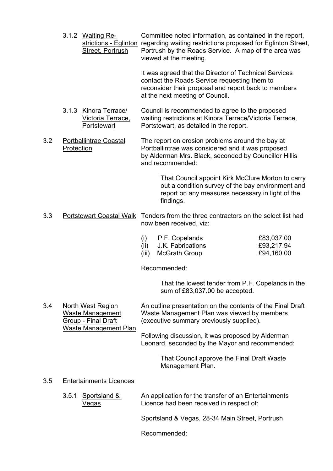3.1.2 Waiting Re- Committee noted information, as contained in the report, strictions - Eglinton regarding waiting restrictions proposed for Eglinton Street, Street, Portrush Portrush by the Roads Service. A map of the area was viewed at the meeting.

> It was agreed that the Director of Technical Services contact the Roads Service requesting them to reconsider their proposal and report back to members at the next meeting of Council.

- 3.1.3 Kinora Terrace/ Council is recommended to agree to the proposed<br>Victoria Terrace, waiting restrictions at Kinora Terrace/Victoria Terra waiting restrictions at Kinora Terrace/Victoria Terrace, Portstewart Portstewart, as detailed in the report.
- 3.2 Portballintrae Coastal The report on erosion problems around the bay at Protection **Protection** Portballintrae was considered and it was proposed by Alderman Mrs. Black, seconded by Councillor Hillis and recommended:

 That Council appoint Kirk McClure Morton to carry out a condition survey of the bay environment and report on any measures necessary in light of the findings.

3.3 Portstewart Coastal Walk Tenders from the three contractors on the select list had now been received, viz:

| $(i)$ P.F. Copelands   | £83,037.00 |
|------------------------|------------|
| (ii) J.K. Fabrications | £93,217.94 |

(iii) McGrath Group **E94,160.00** 

Recommended:

 That the lowest tender from P.F. Copelands in the sum of £83,037.00 be accepted.

3.4 North West Region An outline presentation on the contents of the Final Draft Waste Management Waste Management Plan was viewed by members Group - Final Draft (executive summary previously supplied). Waste Management Plan

> Following discussion, it was proposed by Alderman Leonard, seconded by the Mayor and recommended:

> > That Council approve the Final Draft Waste Management Plan.

## 3.5 Entertainments Licences

 3.5.1 Sportsland & An application for the transfer of an Entertainments Vegas Licence had been received in respect of:

Sportsland & Vegas, 28-34 Main Street, Portrush

Recommended: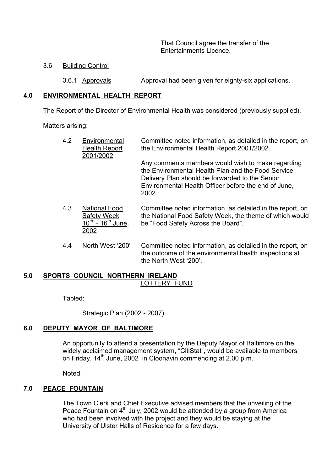That Council agree the transfer of the Entertainments Licence.

#### 3.6 Building Control

3.6.1 Approvals Approval had been given for eighty-six applications.

#### **4.0 ENVIRONMENTAL HEALTH REPORT**

The Report of the Director of Environmental Health was considered (previously supplied).

Matters arising:

| 4.2            | Environmental<br><b>Health Report</b><br>2001/2002 | Committee noted information, as detailed in the report, on<br>the Environmental Health Report 2001/2002.                                                                                                                    |
|----------------|----------------------------------------------------|-----------------------------------------------------------------------------------------------------------------------------------------------------------------------------------------------------------------------------|
|                |                                                    | Any comments members would wish to make regarding<br>the Environmental Health Plan and the Food Service<br>Delivery Plan should be forwarded to the Senior<br>Environmental Health Officer before the end of June,<br>2002. |
| $\overline{A}$ | Notional Eood                                      | Committee noted information as detailed in the report on                                                                                                                                                                    |

- 4.3 National Food Committee noted information, as detailed in the report, on Safety Week the National Food Safety Week, the theme of which would<br>10<sup>th</sup> - 16<sup>th</sup> June the "Food Safety Across the Board". be "Food Safety Across the Board". 2002
- 4.4 North West '200' Committee noted information, as detailed in the report, on the outcome of the environmental health inspections at the North West '200'.

#### **5.0 SPORTS COUNCIL NORTHERN IRELAND** LOTTERY FUND

Tabled:

Strategic Plan (2002 - 2007)

## **6.0 DEPUTY MAYOR OF BALTIMORE**

 An opportunity to attend a presentation by the Deputy Mayor of Baltimore on the widely acclaimed management system, "CitiStat", would be available to members on Friday, 14<sup>th</sup> June, 2002 in Cloonavin commencing at 2.00 p.m.

Noted.

## **7.0 PEACE FOUNTAIN**

 The Town Clerk and Chief Executive advised members that the unveiling of the Peace Fountain on  $4<sup>th</sup>$  July, 2002 would be attended by a group from America who had been involved with the project and they would be staying at the University of Ulster Halls of Residence for a few days.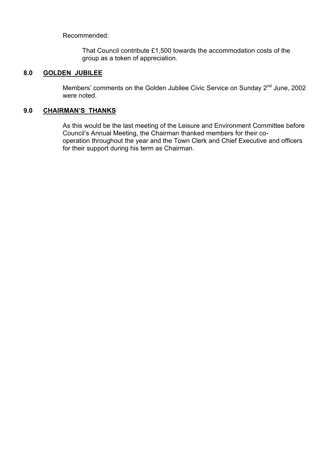Recommended:

 That Council contribute £1,500 towards the accommodation costs of the group as a token of appreciation.

## **8.0 GOLDEN JUBILEE**

Members' comments on the Golden Jubilee Civic Service on Sunday 2<sup>nd</sup> June, 2002 were noted.

## **9.0 CHAIRMANíS THANKS**

 As this would be the last meeting of the Leisure and Environment Committee before Councilís Annual Meeting, the Chairman thanked members for their co operation throughout the year and the Town Clerk and Chief Executive and officers for their support during his term as Chairman.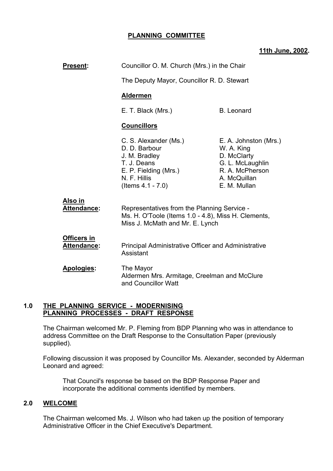## **PLANNING COMMITTEE**

#### **11th June, 2002.**

| Present:                                 | Councillor O. M. Church (Mrs.) in the Chair                                                                                             |                                                                                                                           |
|------------------------------------------|-----------------------------------------------------------------------------------------------------------------------------------------|---------------------------------------------------------------------------------------------------------------------------|
|                                          | The Deputy Mayor, Councillor R. D. Stewart                                                                                              |                                                                                                                           |
|                                          | <b>Aldermen</b>                                                                                                                         |                                                                                                                           |
|                                          | E. T. Black (Mrs.)<br><b>B.</b> Leonard                                                                                                 |                                                                                                                           |
|                                          | <b>Councillors</b>                                                                                                                      |                                                                                                                           |
|                                          | C. S. Alexander (Ms.)<br>D. D. Barbour<br>J. M. Bradley<br>T. J. Deans<br>E. P. Fielding (Mrs.)<br>N. F. Hillis<br>(Items $4.1 - 7.0$ ) | E. A. Johnston (Mrs.)<br>W. A. King<br>D. McClarty<br>G. L. McLaughlin<br>R. A. McPherson<br>A. McQuillan<br>E. M. Mullan |
| <u>Also in</u><br><b>Attendance:</b>     | Representatives from the Planning Service -<br>Ms. H. O'Toole (Items 1.0 - 4.8), Miss H. Clements,<br>Miss J. McMath and Mr. E. Lynch   |                                                                                                                           |
| <b>Officers in</b><br><b>Attendance:</b> | <b>Principal Administrative Officer and Administrative</b><br>Assistant                                                                 |                                                                                                                           |
| <b>Apologies:</b>                        | The Mayor<br>Aldermen Mrs. Armitage, Creelman and McClure<br>and Councillor Watt                                                        |                                                                                                                           |

#### **1.0 THE PLANNING SERVICE - MODERNISING PLANNING PROCESSES - DRAFT RESPONSE**

 The Chairman welcomed Mr. P. Fleming from BDP Planning who was in attendance to address Committee on the Draft Response to the Consultation Paper (previously supplied).

 Following discussion it was proposed by Councillor Ms. Alexander, seconded by Alderman Leonard and agreed:

 That Council's response be based on the BDP Response Paper and incorporate the additional comments identified by members.

#### **2.0 WELCOME**

 The Chairman welcomed Ms. J. Wilson who had taken up the position of temporary Administrative Officer in the Chief Executive's Department.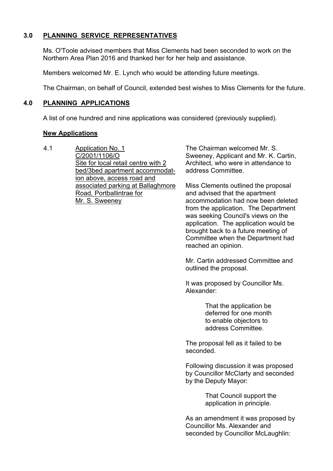## **3.0 PLANNING SERVICE REPRESENTATIVES**

Ms. O'Toole advised members that Miss Clements had been seconded to work on the Northern Area Plan 2016 and thanked her for her help and assistance.

Members welcomed Mr. E. Lynch who would be attending future meetings.

The Chairman, on behalf of Council, extended best wishes to Miss Clements for the future.

## **4.0 PLANNING APPLICATIONS**

A list of one hundred and nine applications was considered (previously supplied).

#### **New Applications**

4.1 Application No. 1 C/2001/1106/O Site for local retail centre with 2 bed/3bed apartment accommodation above, access road and associated parking at Ballaghmore Road, Portballintrae for Mr. S. Sweeney

The Chairman welcomed Mr. S. Sweeney, Applicant and Mr. K. Cartin, Architect, who were in attendance to address Committee.

Miss Clements outlined the proposal and advised that the apartment accommodation had now been deleted from the application. The Department was seeking Council's views on the application. The application would be brought back to a future meeting of Committee when the Department had reached an opinion.

Mr. Cartin addressed Committee and outlined the proposal.

It was proposed by Councillor Ms. Alexander:

> That the application be deferred for one month to enable objectors to address Committee.

The proposal fell as it failed to be seconded.

Following discussion it was proposed by Councillor McClarty and seconded by the Deputy Mayor:

> That Council support the application in principle.

As an amendment it was proposed by Councillor Ms. Alexander and seconded by Councillor McLaughlin: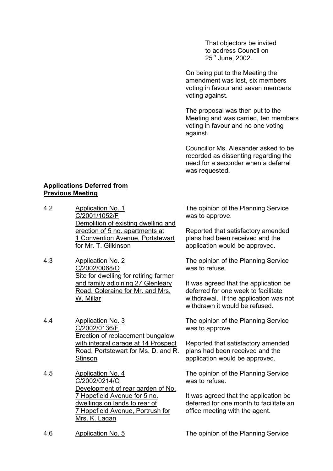That objectors be invited to address Council on  $25^{th}$  June, 2002.

On being put to the Meeting the amendment was lost, six members voting in favour and seven members voting against.

The proposal was then put to the Meeting and was carried, ten members voting in favour and no one voting against.

Councillor Ms. Alexander asked to be recorded as dissenting regarding the need for a seconder when a deferral was requested.

#### **Applications Deferred from Previous Meeting**

- 4.2 Application No. 1 C/2001/1052/F Demolition of existing dwelling and erection of 5 no. apartments at 1 Convention Avenue, Portstewart for Mr. T. Gilkinson
- 4.3 Application No. 2 C/2002/0068/O Site for dwelling for retiring farmer and family adjoining 27 Glenleary Road, Coleraine for Mr. and Mrs. W. Millar

4.4 Application No. 3 C/2002/0136/F Erection of replacement bungalow with integral garage at 14 Prospect Road, Portstewart for Ms. D. and R. **Stinson** 

4.5 Application No. 4 C/2002/0214/O Development of rear garden of No. 7 Hopefield Avenue for 5 no. dwellings on lands to rear of 7 Hopefield Avenue, Portrush for Mrs. K. Lagan

The opinion of the Planning Service was to approve.

Reported that satisfactory amended plans had been received and the application would be approved.

The opinion of the Planning Service was to refuse.

It was agreed that the application be deferred for one week to facilitate withdrawal. If the application was not withdrawn it would be refused.

The opinion of the Planning Service was to approve.

Reported that satisfactory amended plans had been received and the application would be approved.

The opinion of the Planning Service was to refuse.

It was agreed that the application be deferred for one month to facilitate an office meeting with the agent.

4.6 Application No. 5 The opinion of the Planning Service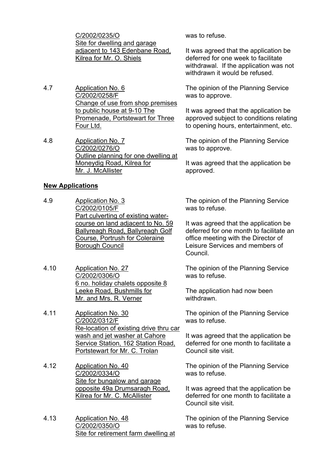C/2002/0235/O Site for dwelling and garage adjacent to 143 Edenbane Road, Kilrea for Mr. O. Shiels

- 4.7 Application No. 6 C/2002/0258/F Change of use from shop premises to public house at 9-10 The Promenade, Portstewart for Three Four Ltd.
- 4.8 Application No. 7 C/2002/0276/O Outline planning for one dwelling at Moneydig Road, Kilrea for Mr. J. McAllister

#### **New Applications**

- 4.9 Application No. 3 C/2002/0105/F Part culverting of existing watercourse on land adjacent to No. 59 Ballyreagh Road, Ballyreagh Golf Course, Portrush for Coleraine Borough Council
- 4.10 Application No. 27 C/2002/0306/O 6 no. holiday chalets opposite 8 Leeke Road, Bushmills for Mr. and Mrs. R. Verner
- 4.11 Application No. 30 C/2002/0312/F Re-location of existing drive thru car wash and jet washer at Cahore Service Station, 162 Station Road, Portstewart for Mr. C. Trolan
- 4.12 Application No. 40 C/2002/0334/O Site for bungalow and garage opposite 49a Drumsaragh Road, Kilrea for Mr. C. McAllister
- 4.13 Application No. 48 C/2002/0350/O Site for retirement farm dwelling at

was to refuse.

It was agreed that the application be deferred for one week to facilitate withdrawal. If the application was not withdrawn it would be refused.

The opinion of the Planning Service was to approve.

It was agreed that the application be approved subject to conditions relating to opening hours, entertainment, etc.

The opinion of the Planning Service was to approve.

It was agreed that the application be approved.

The opinion of the Planning Service was to refuse.

It was agreed that the application be deferred for one month to facilitate an office meeting with the Director of Leisure Services and members of Council.

The opinion of the Planning Service was to refuse.

The application had now been withdrawn.

The opinion of the Planning Service was to refuse.

It was agreed that the application be deferred for one month to facilitate a Council site visit.

The opinion of the Planning Service was to refuse.

It was agreed that the application be deferred for one month to facilitate a Council site visit.

The opinion of the Planning Service was to refuse.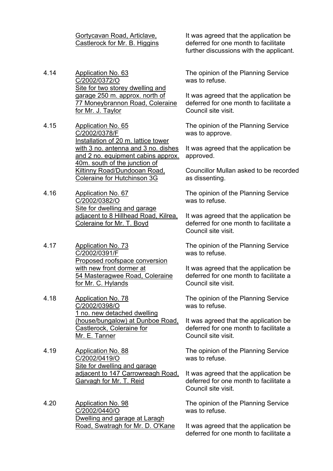Gortycavan Road, Articlave, Castlerock for Mr. B. Higgins

- 4.14 Application No. 63 C/2002/0372/O Site for two storey dwelling and garage 250 m. approx. north of 77 Moneybrannon Road, Coleraine for Mr. J. Taylor
- 4.15 Application No. 65 C/2002/0378/F Installation of 20 m. lattice tower with 3 no. antenna and 3 no. dishes and 2 no. equipment cabins approx. 40m. south of the junction of Kiltinny Road/Dundooan Road, Coleraine for Hutchinson 3G
- 4.16 Application No. 67 C/2002/0382/O Site for dwelling and garage adjacent to 8 Hillhead Road, Kilrea, Coleraine for Mr. T. Boyd
- 4.17 Application No. 73 C/2002/0391/F Proposed roofspace conversion with new front dormer at 54 Masteragwee Road, Coleraine for Mr. C. Hylands
- 4.18 Application No. 78 C/2002/0398/O 1 no. new detached dwelling (house/bungalow) at Dunboe Road, Castlerock, Coleraine for Mr. E. Tanner
- 4.19 Application No. 88 C/2002/0419/O Site for dwelling and garage adjacent to 147 Carrowreagh Road, Garvagh for Mr. T. Reid
- 4.20 Application No. 98 C/2002/0440/O Dwelling and garage at Laragh Road, Swatragh for Mr. D. O'Kane

It was agreed that the application be deferred for one month to facilitate further discussions with the applicant.

The opinion of the Planning Service was to refuse.

It was agreed that the application be deferred for one month to facilitate a Council site visit.

The opinion of the Planning Service was to approve.

It was agreed that the application be approved.

Councillor Mullan asked to be recorded as dissenting.

The opinion of the Planning Service was to refuse.

It was agreed that the application be deferred for one month to facilitate a Council site visit.

The opinion of the Planning Service was to refuse.

It was agreed that the application be deferred for one month to facilitate a Council site visit.

The opinion of the Planning Service was to refuse.

It was agreed that the application be deferred for one month to facilitate a Council site visit.

The opinion of the Planning Service was to refuse.

It was agreed that the application be deferred for one month to facilitate a Council site visit.

The opinion of the Planning Service was to refuse.

It was agreed that the application be deferred for one month to facilitate a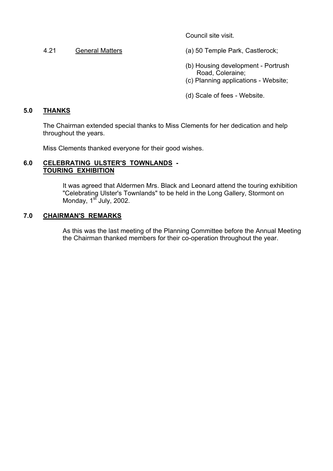Council site visit.

4.21 General Matters (a) 50 Temple Park, Castlerock;

- (b) Housing development Portrush Road, Coleraine;
- (c) Planning applications Website;
- (d) Scale of fees Website.

## **5.0 THANKS**

 The Chairman extended special thanks to Miss Clements for her dedication and help throughout the years.

Miss Clements thanked everyone for their good wishes.

#### **6.0 CELEBRATING ULSTER'S TOWNLANDS - TOURING EXHIBITION**

 It was agreed that Aldermen Mrs. Black and Leonard attend the touring exhibition "Celebrating Ulster's Townlands" to be held in the Long Gallery, Stormont on Monday,  $1<sup>st</sup>$  July, 2002.

## **7.0 CHAIRMAN'S REMARKS**

 As this was the last meeting of the Planning Committee before the Annual Meeting the Chairman thanked members for their co-operation throughout the year.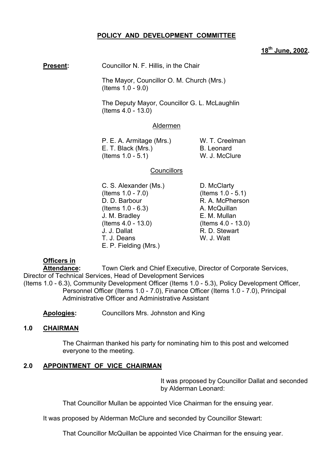## **POLICY AND DEVELOPMENT COMMITTEE**

## **18th June, 2002.**

**Present:** Councillor N. F. Hillis, in the Chair

 The Mayor, Councillor O. M. Church (Mrs.) (Items 1.0 - 9.0)

 The Deputy Mayor, Councillor G. L. McLaughlin (Items 4.0 - 13.0)

#### Aldermen

P. E. A. Armitage (Mrs.) W. T. Creelman E. T. Black (Mrs.) B. Leonard (Items 1.0 - 5.1) W. J. McClure

#### **Councillors**

C. S. Alexander (Ms.) D. McClarty (Items 1.0 - 7.0) (Items 1.0 - 5.1) D. D. Barbour R. A. McPherson  $($ ltems  $1.0 - 6.3)$  A. McQuillan J. M. Bradley E. M. Mullan (Items 4.0 - 13.0) (Items 4.0 - 13.0) J. J. Dallat R. D. Stewart T. J. Deans W. J. Watt E. P. Fielding (Mrs.)

## **Officers in**

 **Attendance:** Town Clerk and Chief Executive, Director of Corporate Services, Director of Technical Services, Head of Development Services

(Items 1.0 - 6.3), Community Development Officer (Items 1.0 - 5.3), Policy Development Officer, Personnel Officer (Items 1.0 - 7.0), Finance Officer (Items 1.0 - 7.0), Principal Administrative Officer and Administrative Assistant

**Apologies:** Councillors Mrs. Johnston and King

#### **1.0 CHAIRMAN**

The Chairman thanked his party for nominating him to this post and welcomed everyone to the meeting.

## **2.0 APPOINTMENT OF VICE CHAIRMAN**

It was proposed by Councillor Dallat and seconded by Alderman Leonard:

That Councillor Mullan be appointed Vice Chairman for the ensuing year.

It was proposed by Alderman McClure and seconded by Councillor Stewart:

That Councillor McQuillan be appointed Vice Chairman for the ensuing year.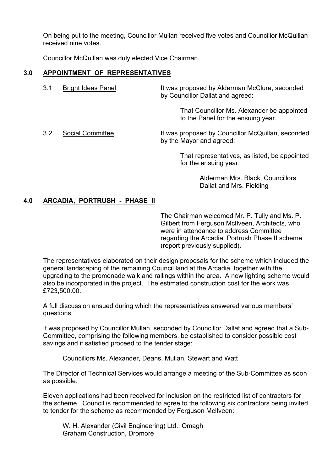On being put to the meeting, Councillor Mullan received five votes and Councillor McQuillan received nine votes.

Councillor McQuillan was duly elected Vice Chairman.

#### **3.0 APPOINTMENT OF REPRESENTATIVES**

3.1 Bright Ideas Panel It was proposed by Alderman McClure, seconded by Councillor Dallat and agreed: That Councillor Ms. Alexander be appointed to the Panel for the ensuing year. 3.2 Social Committee It was proposed by Councillor McQuillan, seconded by the Mayor and agreed:

> That representatives, as listed, be appointed for the ensuing year:

> > Alderman Mrs. Black, Councillors Dallat and Mrs. Fielding

#### **4.0 ARCADIA, PORTRUSH - PHASE II**

The Chairman welcomed Mr. P. Tully and Ms. P. Gilbert from Ferguson McIlveen, Architects, who were in attendance to address Committee regarding the Arcadia, Portrush Phase II scheme (report previously supplied).

The representatives elaborated on their design proposals for the scheme which included the general landscaping of the remaining Council land at the Arcadia, together with the upgrading to the promenade walk and railings within the area. A new lighting scheme would also be incorporated in the project. The estimated construction cost for the work was £723,500.00.

A full discussion ensued during which the representatives answered various membersí questions.

It was proposed by Councillor Mullan, seconded by Councillor Dallat and agreed that a Sub-Committee, comprising the following members, be established to consider possible cost savings and if satisfied proceed to the tender stage:

Councillors Ms. Alexander, Deans, Mullan, Stewart and Watt

The Director of Technical Services would arrange a meeting of the Sub-Committee as soon as possible.

Eleven applications had been received for inclusion on the restricted list of contractors for the scheme. Council is recommended to agree to the following six contractors being invited to tender for the scheme as recommended by Ferguson McIlveen:

 W. H. Alexander (Civil Engineering) Ltd., Omagh Graham Construction, Dromore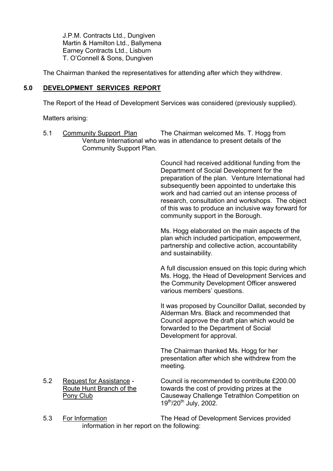J.P.M. Contracts Ltd., Dungiven Martin & Hamilton Ltd., Ballymena Earney Contracts Ltd., Lisburn T. O'Connell & Sons, Dungiven

The Chairman thanked the representatives for attending after which they withdrew.

## **5.0 DEVELOPMENT SERVICES REPORT**

The Report of the Head of Development Services was considered (previously supplied).

Matters arising:

 5.1 Community Support Plan The Chairman welcomed Ms. T. Hogg from Venture International who was in attendance to present details of the Community Support Plan.

> Council had received additional funding from the Department of Social Development for the preparation of the plan. Venture International had subsequently been appointed to undertake this work and had carried out an intense process of research, consultation and workshops. The object of this was to produce an inclusive way forward for community support in the Borough.

Ms. Hogg elaborated on the main aspects of the plan which included participation, empowerment, partnership and collective action, accountability and sustainability.

A full discussion ensued on this topic during which Ms. Hogg, the Head of Development Services and the Community Development Officer answered various members' questions.

It was proposed by Councillor Dallat, seconded by Alderman Mrs. Black and recommended that Council approve the draft plan which would be forwarded to the Department of Social Development for approval.

The Chairman thanked Ms. Hogg for her presentation after which she withdrew from the meeting.

- 5.2 Request for Assistance Council is recommended to contribute £200.00 Route Hunt Branch of the towards the cost of providing prizes at the Pony Club Causeway Challenge Tetrathlon Competition on 19th/20th July, 2002.
- 5.3 For Information The Head of Development Services provided information in her report on the following: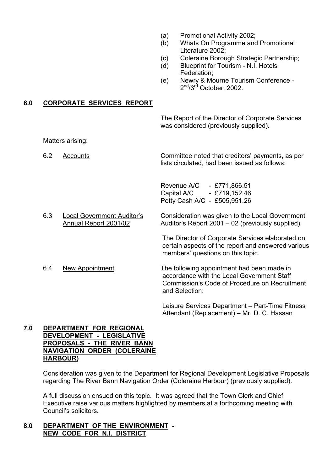- (a) Promotional Activity 2002;
- (b) Whats On Programme and Promotional Literature 2002;
- (c) Coleraine Borough Strategic Partnership;
- (d) Blueprint for Tourism N.I. Hotels Federation;
- (e) Newry & Mourne Tourism Conference 2<sup>nd</sup>/3<sup>rd</sup> October, 2002.

#### **6.0 CORPORATE SERVICES REPORT**

The Report of the Director of Corporate Services was considered (previously supplied).

Matters arising:

 6.2 Accounts Committee noted that creditorsí payments, as per lists circulated, had been issued as follows:

> Revenue A/C - £771,866.51 Capital A/C - £719,152.46 Petty Cash A/C - £505,951.26

6.3 Local Government Auditor's Consideration was given to the Local Government Annual Report 2001/02 Auditor's Report 2001 – 02 (previously supplied).

> The Director of Corporate Services elaborated on certain aspects of the report and answered various members' questions on this topic.

 6.4 New Appointment The following appointment had been made in accordance with the Local Government Staff Commission's Code of Procedure on Recruitment and Selection:

> Leisure Services Department – Part-Time Fitness Attendant (Replacement) – Mr. D. C. Hassan

#### **7.0 DEPARTMENT FOR REGIONAL DEVELOPMENT - LEGISLATIVE PROPOSALS - THE RIVER BANN NAVIGATION ORDER (COLERAINE HARBOUR)**

Consideration was given to the Department for Regional Development Legislative Proposals regarding The River Bann Navigation Order (Coleraine Harbour) (previously supplied).

A full discussion ensued on this topic. It was agreed that the Town Clerk and Chief Executive raise various matters highlighted by members at a forthcoming meeting with Council's solicitors.

#### **8.0 DEPARTMENT OF THE ENVIRONMENT - NEW CODE FOR N.I. DISTRICT**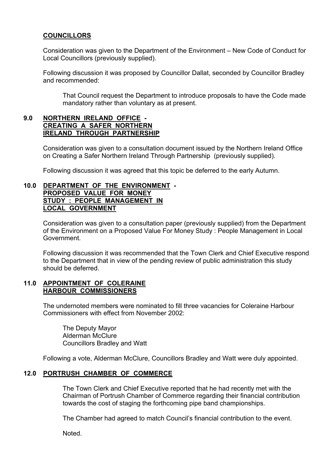### **COUNCILLORS**

Consideration was given to the Department of the Environment – New Code of Conduct for Local Councillors (previously supplied).

Following discussion it was proposed by Councillor Dallat, seconded by Councillor Bradley and recommended:

 That Council request the Department to introduce proposals to have the Code made mandatory rather than voluntary as at present.

#### **9.0 NORTHERN IRELAND OFFICE - CREATING A SAFER NORTHERN IRELAND THROUGH PARTNERSHIP**

 Consideration was given to a consultation document issued by the Northern Ireland Office on Creating a Safer Northern Ireland Through Partnership (previously supplied).

Following discussion it was agreed that this topic be deferred to the early Autumn.

#### **10.0 DEPARTMENT OF THE ENVIRONMENT - PROPOSED VALUE FOR MONEY STUDY : PEOPLE MANAGEMENT IN LOCAL GOVERNMENT**

 Consideration was given to a consultation paper (previously supplied) from the Department of the Environment on a Proposed Value For Money Study : People Management in Local Government.

 Following discussion it was recommended that the Town Clerk and Chief Executive respond to the Department that in view of the pending review of public administration this study should be deferred.

#### **11.0 APPOINTMENT OF COLERAINE HARBOUR COMMISSIONERS**

The undernoted members were nominated to fill three vacancies for Coleraine Harbour Commissioners with effect from November 2002:

 The Deputy Mayor Alderman McClure Councillors Bradley and Watt

Following a vote, Alderman McClure, Councillors Bradley and Watt were duly appointed.

#### **12.0 PORTRUSH CHAMBER OF COMMERCE**

 The Town Clerk and Chief Executive reported that he had recently met with the Chairman of Portrush Chamber of Commerce regarding their financial contribution towards the cost of staging the forthcoming pipe band championships.

The Chamber had agreed to match Council's financial contribution to the event.

Noted.